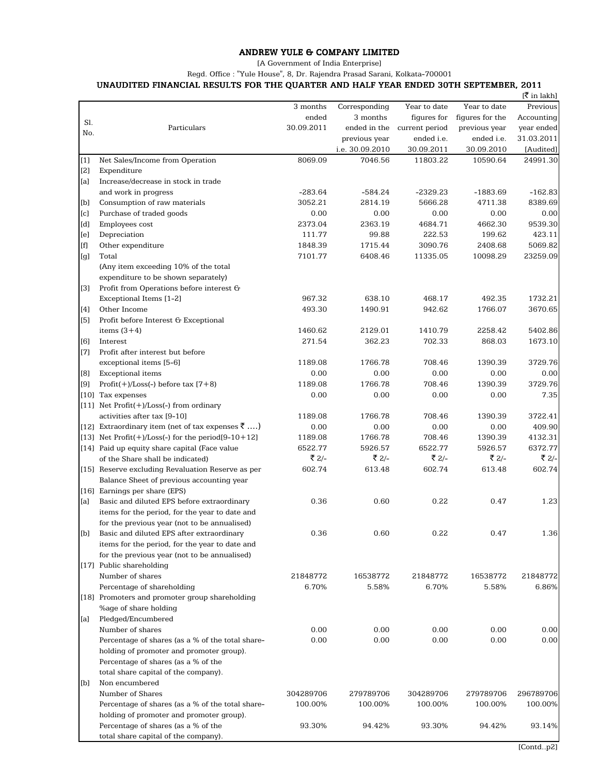## ANDREW YULE & COMPANY LIMITED

[A Government of India Enterprise]

Regd. Office : "Yule House", 8, Dr. Rajendra Prasad Sarani, Kolkata-700001

## UNAUDITED FINANCIAL RESULTS FOR THE QUARTER AND HALF YEAR ENDED 30TH SEPTEMBER, 2011

|                                                                                                                                                                                                                                                                                                                                                                                                                                                                                                                                                                                                                                                                                                                                                                                                                                                                                                                                                                                                                                                                                     |                                                                                                |                    |                    |                   |                    | [₹ in lakh]        |
|-------------------------------------------------------------------------------------------------------------------------------------------------------------------------------------------------------------------------------------------------------------------------------------------------------------------------------------------------------------------------------------------------------------------------------------------------------------------------------------------------------------------------------------------------------------------------------------------------------------------------------------------------------------------------------------------------------------------------------------------------------------------------------------------------------------------------------------------------------------------------------------------------------------------------------------------------------------------------------------------------------------------------------------------------------------------------------------|------------------------------------------------------------------------------------------------|--------------------|--------------------|-------------------|--------------------|--------------------|
|                                                                                                                                                                                                                                                                                                                                                                                                                                                                                                                                                                                                                                                                                                                                                                                                                                                                                                                                                                                                                                                                                     |                                                                                                | 3 months           | Corresponding      | Year to date      | Year to date       | Previous           |
| Sl.                                                                                                                                                                                                                                                                                                                                                                                                                                                                                                                                                                                                                                                                                                                                                                                                                                                                                                                                                                                                                                                                                 |                                                                                                | ended              | 3 months           | figures for       | figures for the    | Accounting         |
| No.                                                                                                                                                                                                                                                                                                                                                                                                                                                                                                                                                                                                                                                                                                                                                                                                                                                                                                                                                                                                                                                                                 | Particulars                                                                                    | 30.09.2011         | ended in the       | current period    | previous year      | year ended         |
|                                                                                                                                                                                                                                                                                                                                                                                                                                                                                                                                                                                                                                                                                                                                                                                                                                                                                                                                                                                                                                                                                     |                                                                                                |                    | previous year      | ended i.e.        | ended i.e.         | 31.03.2011         |
|                                                                                                                                                                                                                                                                                                                                                                                                                                                                                                                                                                                                                                                                                                                                                                                                                                                                                                                                                                                                                                                                                     |                                                                                                |                    | i.e. 30.09.2010    | 30.09.2011        | 30.09.2010         | [Audited]          |
| $[1]$                                                                                                                                                                                                                                                                                                                                                                                                                                                                                                                                                                                                                                                                                                                                                                                                                                                                                                                                                                                                                                                                               | Net Sales/Income from Operation                                                                | 8069.09            | 7046.56            | 11803.22          | 10590.64           | 24991.30           |
| [2]                                                                                                                                                                                                                                                                                                                                                                                                                                                                                                                                                                                                                                                                                                                                                                                                                                                                                                                                                                                                                                                                                 | Expenditure                                                                                    |                    |                    |                   |                    |                    |
| [a]                                                                                                                                                                                                                                                                                                                                                                                                                                                                                                                                                                                                                                                                                                                                                                                                                                                                                                                                                                                                                                                                                 | Increase/decrease in stock in trade                                                            |                    |                    |                   |                    |                    |
|                                                                                                                                                                                                                                                                                                                                                                                                                                                                                                                                                                                                                                                                                                                                                                                                                                                                                                                                                                                                                                                                                     | and work in progress                                                                           | $-283.64$          | $-584.24$          | $-2329.23$        | $-1883.69$         | $-162.83$          |
| [b]                                                                                                                                                                                                                                                                                                                                                                                                                                                                                                                                                                                                                                                                                                                                                                                                                                                                                                                                                                                                                                                                                 | Consumption of raw materials                                                                   | 3052.21            | 2814.19            | 5666.28           | 4711.38            | 8389.69            |
| [c]                                                                                                                                                                                                                                                                                                                                                                                                                                                                                                                                                                                                                                                                                                                                                                                                                                                                                                                                                                                                                                                                                 | Purchase of traded goods                                                                       | 0.00               | 0.00               | 0.00              | 0.00               | 0.00               |
| [d]                                                                                                                                                                                                                                                                                                                                                                                                                                                                                                                                                                                                                                                                                                                                                                                                                                                                                                                                                                                                                                                                                 | Employees cost                                                                                 | 2373.04            | 2363.19            | 4684.71           | 4662.30            | 9539.30            |
| [e]                                                                                                                                                                                                                                                                                                                                                                                                                                                                                                                                                                                                                                                                                                                                                                                                                                                                                                                                                                                                                                                                                 | Depreciation                                                                                   | 111.77             | 99.88              | 222.53            | 199.62             | 423.11             |
| $[f] % \centering % {\includegraphics[width=0.9\textwidth]{Figures/figs/fig_4} }}% \caption{The figure shows the result of the figure shows the result of the figure shows the result of the figure shows the result of the figure shows the result of the figure shows the result of the figure shows the result of the figure shows the result of the figure shows the result of the figure shows the result of the figure shows the result of the figure shows the result of the figure shows the result of the figure shows the result of the figure shows the result of the figure shows the result of the figure shows the result of the figure shows the result of the figure shows the result of the figure shows the result of the figure shows the result of the figure shows the result of the figure shows the result of the figure shows the result of the figure shows the result of the figure shows the result of the figure shows the result of the figure shows the result of the figure shows the result of the figure shows the result of the figure shows the$ | Other expenditure                                                                              | 1848.39            | 1715.44            | 3090.76           | 2408.68            | 5069.82            |
| [g]                                                                                                                                                                                                                                                                                                                                                                                                                                                                                                                                                                                                                                                                                                                                                                                                                                                                                                                                                                                                                                                                                 | Total                                                                                          | 7101.77            | 6408.46            | 11335.05          | 10098.29           | 23259.09           |
|                                                                                                                                                                                                                                                                                                                                                                                                                                                                                                                                                                                                                                                                                                                                                                                                                                                                                                                                                                                                                                                                                     | (Any item exceeding 10% of the total                                                           |                    |                    |                   |                    |                    |
|                                                                                                                                                                                                                                                                                                                                                                                                                                                                                                                                                                                                                                                                                                                                                                                                                                                                                                                                                                                                                                                                                     | expenditure to be shown separately)                                                            |                    |                    |                   |                    |                    |
| [3]                                                                                                                                                                                                                                                                                                                                                                                                                                                                                                                                                                                                                                                                                                                                                                                                                                                                                                                                                                                                                                                                                 | Profit from Operations before interest G                                                       |                    |                    |                   |                    |                    |
|                                                                                                                                                                                                                                                                                                                                                                                                                                                                                                                                                                                                                                                                                                                                                                                                                                                                                                                                                                                                                                                                                     | Exceptional Items [1-2]                                                                        | 967.32             | 638.10             | 468.17            | 492.35             | 1732.21            |
| [4]                                                                                                                                                                                                                                                                                                                                                                                                                                                                                                                                                                                                                                                                                                                                                                                                                                                                                                                                                                                                                                                                                 | Other Income                                                                                   | 493.30             | 1490.91            | 942.62            | 1766.07            | 3670.65            |
| [5]                                                                                                                                                                                                                                                                                                                                                                                                                                                                                                                                                                                                                                                                                                                                                                                                                                                                                                                                                                                                                                                                                 | Profit before Interest G Exceptional                                                           |                    |                    |                   |                    |                    |
|                                                                                                                                                                                                                                                                                                                                                                                                                                                                                                                                                                                                                                                                                                                                                                                                                                                                                                                                                                                                                                                                                     | items $(3+4)$                                                                                  | 1460.62            | 2129.01            | 1410.79           | 2258.42            | 5402.86            |
| [6]                                                                                                                                                                                                                                                                                                                                                                                                                                                                                                                                                                                                                                                                                                                                                                                                                                                                                                                                                                                                                                                                                 | Interest                                                                                       | 271.54             | 362.23             | 702.33            | 868.03             | 1673.10            |
| $[7]$                                                                                                                                                                                                                                                                                                                                                                                                                                                                                                                                                                                                                                                                                                                                                                                                                                                                                                                                                                                                                                                                               | Profit after interest but before                                                               |                    |                    |                   |                    |                    |
|                                                                                                                                                                                                                                                                                                                                                                                                                                                                                                                                                                                                                                                                                                                                                                                                                                                                                                                                                                                                                                                                                     | exceptional items [5-6]                                                                        | 1189.08            | 1766.78            | 708.46            | 1390.39            | 3729.76            |
| [8]                                                                                                                                                                                                                                                                                                                                                                                                                                                                                                                                                                                                                                                                                                                                                                                                                                                                                                                                                                                                                                                                                 | <b>Exceptional</b> items                                                                       | 0.00               | 0.00               | 0.00              | 0.00               | 0.00               |
| [9]                                                                                                                                                                                                                                                                                                                                                                                                                                                                                                                                                                                                                                                                                                                                                                                                                                                                                                                                                                                                                                                                                 | Profit(+)/Loss(-) before tax $[7+8)$                                                           | 1189.08            | 1766.78            | 708.46            | 1390.39            | 3729.76            |
|                                                                                                                                                                                                                                                                                                                                                                                                                                                                                                                                                                                                                                                                                                                                                                                                                                                                                                                                                                                                                                                                                     | [10] Tax expenses                                                                              | 0.00               | 0.00               | 0.00              | 0.00               | 7.35               |
|                                                                                                                                                                                                                                                                                                                                                                                                                                                                                                                                                                                                                                                                                                                                                                                                                                                                                                                                                                                                                                                                                     | [11] Net $Profit(+) / Loss(-)$ from ordinary                                                   |                    |                    |                   |                    |                    |
|                                                                                                                                                                                                                                                                                                                                                                                                                                                                                                                                                                                                                                                                                                                                                                                                                                                                                                                                                                                                                                                                                     | activities after tax [9-10]                                                                    | 1189.08            | 1766.78            | 708.46            | 1390.39            | 3722.41            |
|                                                                                                                                                                                                                                                                                                                                                                                                                                                                                                                                                                                                                                                                                                                                                                                                                                                                                                                                                                                                                                                                                     | [12] Extraordinary item (net of tax expenses $\bar{z}$ )                                       | 0.00               | 0.00               | 0.00              | 0.00               | 409.90             |
|                                                                                                                                                                                                                                                                                                                                                                                                                                                                                                                                                                                                                                                                                                                                                                                                                                                                                                                                                                                                                                                                                     | [13] Net $Profit(+)/Loss(-)$ for the period[9-10+12]                                           | 1189.08<br>6522.77 | 1766.78<br>5926.57 | 708.46<br>6522.77 | 1390.39<br>5926.57 | 4132.31<br>6372.77 |
|                                                                                                                                                                                                                                                                                                                                                                                                                                                                                                                                                                                                                                                                                                                                                                                                                                                                                                                                                                                                                                                                                     | [14] Paid up equity share capital (Face value                                                  | ₹ 2/-              | ₹ 2/-              | ₹ 2/-             | ₹ 2/-              | ₹ 2/-              |
|                                                                                                                                                                                                                                                                                                                                                                                                                                                                                                                                                                                                                                                                                                                                                                                                                                                                                                                                                                                                                                                                                     | of the Share shall be indicated)                                                               | 602.74             | 613.48             | 602.74            | 613.48             | 602.74             |
|                                                                                                                                                                                                                                                                                                                                                                                                                                                                                                                                                                                                                                                                                                                                                                                                                                                                                                                                                                                                                                                                                     | [15] Reserve excluding Revaluation Reserve as per<br>Balance Sheet of previous accounting year |                    |                    |                   |                    |                    |
|                                                                                                                                                                                                                                                                                                                                                                                                                                                                                                                                                                                                                                                                                                                                                                                                                                                                                                                                                                                                                                                                                     | [16] Earnings per share (EPS)                                                                  |                    |                    |                   |                    |                    |
| [a]                                                                                                                                                                                                                                                                                                                                                                                                                                                                                                                                                                                                                                                                                                                                                                                                                                                                                                                                                                                                                                                                                 | Basic and diluted EPS before extraordinary                                                     | 0.36               | 0.60               | 0.22              | 0.47               | 1.23               |
|                                                                                                                                                                                                                                                                                                                                                                                                                                                                                                                                                                                                                                                                                                                                                                                                                                                                                                                                                                                                                                                                                     | items for the period, for the year to date and                                                 |                    |                    |                   |                    |                    |
|                                                                                                                                                                                                                                                                                                                                                                                                                                                                                                                                                                                                                                                                                                                                                                                                                                                                                                                                                                                                                                                                                     | for the previous year (not to be annualised)                                                   |                    |                    |                   |                    |                    |
| [b]                                                                                                                                                                                                                                                                                                                                                                                                                                                                                                                                                                                                                                                                                                                                                                                                                                                                                                                                                                                                                                                                                 | Basic and diluted EPS after extraordinary                                                      | 0.36               | 0.60               | 0.22              | 0.47               | 1.36               |
|                                                                                                                                                                                                                                                                                                                                                                                                                                                                                                                                                                                                                                                                                                                                                                                                                                                                                                                                                                                                                                                                                     | items for the period, for the year to date and                                                 |                    |                    |                   |                    |                    |
|                                                                                                                                                                                                                                                                                                                                                                                                                                                                                                                                                                                                                                                                                                                                                                                                                                                                                                                                                                                                                                                                                     | for the previous year (not to be annualised)                                                   |                    |                    |                   |                    |                    |
|                                                                                                                                                                                                                                                                                                                                                                                                                                                                                                                                                                                                                                                                                                                                                                                                                                                                                                                                                                                                                                                                                     | [17] Public shareholding                                                                       |                    |                    |                   |                    |                    |
|                                                                                                                                                                                                                                                                                                                                                                                                                                                                                                                                                                                                                                                                                                                                                                                                                                                                                                                                                                                                                                                                                     | Number of shares                                                                               | 21848772           | 16538772           | 21848772          | 16538772           | 21848772           |
|                                                                                                                                                                                                                                                                                                                                                                                                                                                                                                                                                                                                                                                                                                                                                                                                                                                                                                                                                                                                                                                                                     | Percentage of shareholding                                                                     | 6.70%              | 5.58%              | 6.70%             | 5.58%              | 6.86%              |
|                                                                                                                                                                                                                                                                                                                                                                                                                                                                                                                                                                                                                                                                                                                                                                                                                                                                                                                                                                                                                                                                                     | [18] Promoters and promoter group shareholding                                                 |                    |                    |                   |                    |                    |
|                                                                                                                                                                                                                                                                                                                                                                                                                                                                                                                                                                                                                                                                                                                                                                                                                                                                                                                                                                                                                                                                                     | %age of share holding                                                                          |                    |                    |                   |                    |                    |
| [a]                                                                                                                                                                                                                                                                                                                                                                                                                                                                                                                                                                                                                                                                                                                                                                                                                                                                                                                                                                                                                                                                                 | Pledged/Encumbered                                                                             |                    |                    |                   |                    |                    |
|                                                                                                                                                                                                                                                                                                                                                                                                                                                                                                                                                                                                                                                                                                                                                                                                                                                                                                                                                                                                                                                                                     | Number of shares                                                                               | 0.00               | 0.00               | 0.00              | 0.00               | 0.00               |
|                                                                                                                                                                                                                                                                                                                                                                                                                                                                                                                                                                                                                                                                                                                                                                                                                                                                                                                                                                                                                                                                                     | Percentage of shares (as a % of the total share-                                               | 0.00               | 0.00               | 0.00              | 0.00               | 0.00               |
| [b]                                                                                                                                                                                                                                                                                                                                                                                                                                                                                                                                                                                                                                                                                                                                                                                                                                                                                                                                                                                                                                                                                 | holding of promoter and promoter group).                                                       |                    |                    |                   |                    |                    |
|                                                                                                                                                                                                                                                                                                                                                                                                                                                                                                                                                                                                                                                                                                                                                                                                                                                                                                                                                                                                                                                                                     | Percentage of shares (as a % of the                                                            |                    |                    |                   |                    |                    |
|                                                                                                                                                                                                                                                                                                                                                                                                                                                                                                                                                                                                                                                                                                                                                                                                                                                                                                                                                                                                                                                                                     | total share capital of the company).                                                           |                    |                    |                   |                    |                    |
|                                                                                                                                                                                                                                                                                                                                                                                                                                                                                                                                                                                                                                                                                                                                                                                                                                                                                                                                                                                                                                                                                     | Non encumbered                                                                                 |                    |                    |                   |                    |                    |
|                                                                                                                                                                                                                                                                                                                                                                                                                                                                                                                                                                                                                                                                                                                                                                                                                                                                                                                                                                                                                                                                                     | Number of Shares                                                                               | 304289706          | 279789706          | 304289706         | 279789706          | 296789706          |
|                                                                                                                                                                                                                                                                                                                                                                                                                                                                                                                                                                                                                                                                                                                                                                                                                                                                                                                                                                                                                                                                                     | Percentage of shares (as a % of the total share-                                               | 100.00%            | 100.00%            | 100.00%           | 100.00%            | 100.00%            |
|                                                                                                                                                                                                                                                                                                                                                                                                                                                                                                                                                                                                                                                                                                                                                                                                                                                                                                                                                                                                                                                                                     | holding of promoter and promoter group).                                                       |                    |                    |                   |                    |                    |
|                                                                                                                                                                                                                                                                                                                                                                                                                                                                                                                                                                                                                                                                                                                                                                                                                                                                                                                                                                                                                                                                                     | Percentage of shares (as a % of the                                                            | 93.30%             | 94.42%             | 93.30%            | 94.42%             | 93.14%             |
|                                                                                                                                                                                                                                                                                                                                                                                                                                                                                                                                                                                                                                                                                                                                                                                                                                                                                                                                                                                                                                                                                     | total share capital of the company).                                                           |                    |                    |                   |                    |                    |